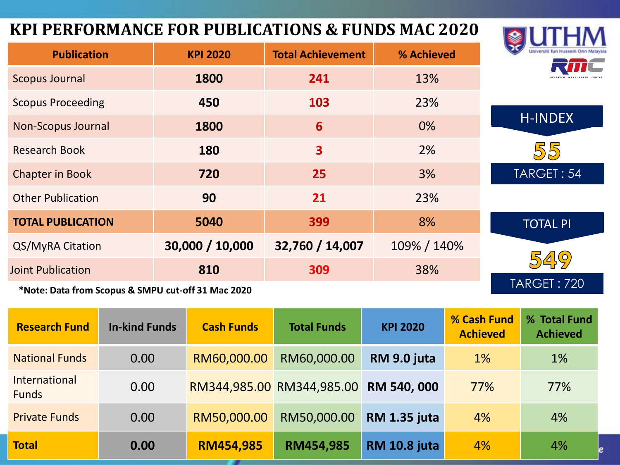#### **KPI PERFORMANCE FOR PUBLICATIONS & FUNDS MAC 2020**

| <b>KPI PERFORMANCE FOR PUBLICATIONS &amp; FUNDS MAC 2020</b>                                                           |                 |                          |             |                    |
|------------------------------------------------------------------------------------------------------------------------|-----------------|--------------------------|-------------|--------------------|
| <b>Publication</b><br><b>KPI 2020</b>                                                                                  |                 | <b>Total Achievement</b> | % Achieved  |                    |
| <b>Scopus Journal</b>                                                                                                  | 1800            | 241                      | 13%         |                    |
| <b>Scopus Proceeding</b>                                                                                               | 450             | 103                      | 23%         |                    |
| <b>Non-Scopus Journal</b>                                                                                              | 1800            | 6                        | 0%          | <b>H-INDEX</b>     |
| <b>Research Book</b>                                                                                                   | 180             | $\overline{\mathbf{3}}$  | 2%          | 55                 |
| <b>Chapter in Book</b>                                                                                                 | 720             | 25                       | 3%          | TARGET: 54         |
| <b>Other Publication</b>                                                                                               | 90              | 21                       | 23%         |                    |
| <b>TOTAL PUBLICATION</b>                                                                                               | 5040            | 399                      | 8%          | <b>TOTAL PI</b>    |
| QS/MyRA Citation                                                                                                       | 30,000 / 10,000 | 32,760 / 14,007          | 109% / 140% |                    |
| <b>Joint Publication</b>                                                                                               | 810             | 309                      | 38%         | 549                |
| <b>SALLER IN LETTER CONTRACTED AT A RAIL CONTRACT CONTRACT AND LETTER CONTRACT CONTRACT CONTRACT CONTRACT CONTRACT</b> |                 |                          |             | <b>TARGET: 720</b> |

laysia

**\*Note: Data from Scopus & SMPU cut-off 31 Mac 2020**

| <b>Research Fund</b>                 | <b>In-kind Funds</b> | <b>Cash Funds</b> | <b>Total Funds</b>        | <b>KPI 2020</b>     | % Cash Fund<br><b>Achieved</b> | % Total Fund<br><b>Achieved</b> |
|--------------------------------------|----------------------|-------------------|---------------------------|---------------------|--------------------------------|---------------------------------|
| <b>National Funds</b>                | 0.00                 | RM60,000.00       | RM60,000.00               | RM 9.0 juta         | $1\%$                          | 1%                              |
| <b>International</b><br><b>Funds</b> | 0.00                 |                   | RM344,985.00 RM344,985.00 | RM 540, 000         | 77%                            | 77%                             |
| <b>Private Funds</b>                 | 0.00                 | RM50,000.00       | RM50,000.00               | <b>RM 1.35 juta</b> | 4%                             | 4%                              |
| <b>Total</b>                         | 0.00                 | <b>RM454,985</b>  | RM454,985                 | <b>RM 10.8 juta</b> | 4%                             | 4%                              |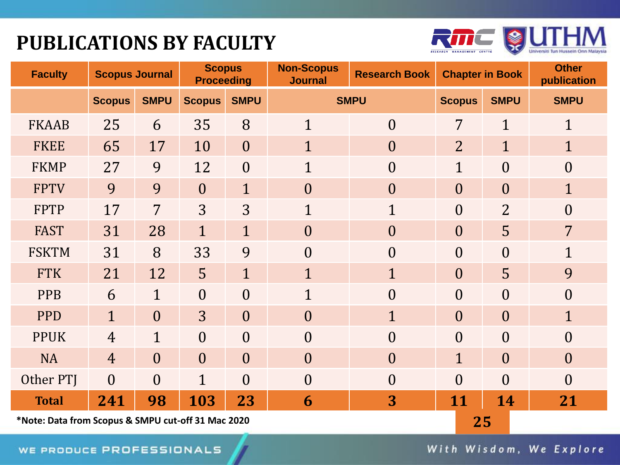## **PUBLICATIONS BY FACULTY**



| <b>Faculty</b>                                     | <b>Scopus Journal</b> |                | <b>Scopus</b><br><b>Proceeding</b> |                | <b>Non-Scopus</b><br><b>Journal</b> | <b>Research Book</b><br><b>Chapter in Book</b> |                  | <b>Other</b><br>publication |                  |
|----------------------------------------------------|-----------------------|----------------|------------------------------------|----------------|-------------------------------------|------------------------------------------------|------------------|-----------------------------|------------------|
|                                                    | <b>Scopus</b>         | <b>SMPU</b>    | <b>Scopus</b>                      | <b>SMPU</b>    | <b>SMPU</b>                         |                                                | <b>Scopus</b>    | <b>SMPU</b>                 | <b>SMPU</b>      |
| <b>FKAAB</b>                                       | 25                    | 6              | 35                                 | 8              | $\mathbf{1}$                        | $\overline{0}$                                 | 7                | $\mathbf{1}$                | $\mathbf{1}$     |
| <b>FKEE</b>                                        | 65                    | 17             | 10                                 | $\overline{0}$ | $\mathbf{1}$                        | $\overline{0}$                                 | $\overline{2}$   | $\mathbf{1}$                | $\mathbf{1}$     |
| <b>FKMP</b>                                        | 27                    | 9              | 12                                 | $\overline{0}$ | $\mathbf{1}$                        | $\overline{0}$                                 | $\mathbf 1$      | $\overline{0}$              | $\overline{0}$   |
| <b>FPTV</b>                                        | 9                     | 9              | $\overline{0}$                     | $\mathbf{1}$   | $\overline{0}$                      | $\overline{0}$                                 | $\boldsymbol{0}$ | $\theta$                    | $\mathbf{1}$     |
| <b>FPTP</b>                                        | 17                    | 7              | 3                                  | 3              | $\mathbf{1}$                        | $\mathbf{1}$                                   | $\overline{0}$   | $\overline{2}$              | $\overline{0}$   |
| <b>FAST</b>                                        | 31                    | 28             | $\mathbf{1}$                       | $\mathbf{1}$   | $\overline{0}$                      | $\overline{0}$                                 | $\theta$         | 5                           | $\overline{7}$   |
| <b>FSKTM</b>                                       | 31                    | 8              | 33                                 | 9              | $\theta$                            | $\overline{0}$                                 | $\overline{0}$   | $\theta$                    | $\mathbf 1$      |
| <b>FTK</b>                                         | 21                    | 12             | 5                                  | $\mathbf{1}$   | $\overline{1}$                      | $\mathbf{1}$                                   | $\boldsymbol{0}$ | 5                           | 9                |
| <b>PPB</b>                                         | 6                     | $\mathbf{1}$   | $\overline{0}$                     | $\overline{0}$ | $\overline{1}$                      | $\overline{0}$                                 | $\overline{0}$   | $\overline{0}$              | $\overline{0}$   |
| <b>PPD</b>                                         | $\mathbf{1}$          | $\overline{0}$ | 3                                  | $\overline{0}$ | $\overline{0}$                      | $\mathbf{1}$                                   | $\boldsymbol{0}$ | $\theta$                    | $\mathbf{1}$     |
| <b>PPUK</b>                                        | $\overline{4}$        | $\mathbf{1}$   | $\boldsymbol{0}$                   | $\overline{0}$ | $\overline{0}$                      | $\overline{0}$                                 | $\boldsymbol{0}$ | $\overline{0}$              | $\overline{0}$   |
| <b>NA</b>                                          | $\overline{4}$        | $\overline{0}$ | $\overline{0}$                     | $\overline{0}$ | $\overline{0}$                      | $\overline{0}$                                 | $\mathbf{1}$     | $\overline{0}$              | $\boldsymbol{0}$ |
| Other PTJ                                          | $\overline{0}$        | $\overline{0}$ | $\mathbf{1}$                       | $\overline{0}$ | $\theta$                            | $\overline{0}$                                 | $\overline{0}$   | $\overline{0}$              | $\theta$         |
| <b>Total</b>                                       | 241                   | 98             | 103                                | 23             | 6                                   | 3                                              | 11               | 14                          | 21               |
| *Note: Data from Scopus & SMPU cut-off 31 Mac 2020 |                       |                |                                    |                |                                     |                                                | 25               |                             |                  |

With Wisdom, We Explore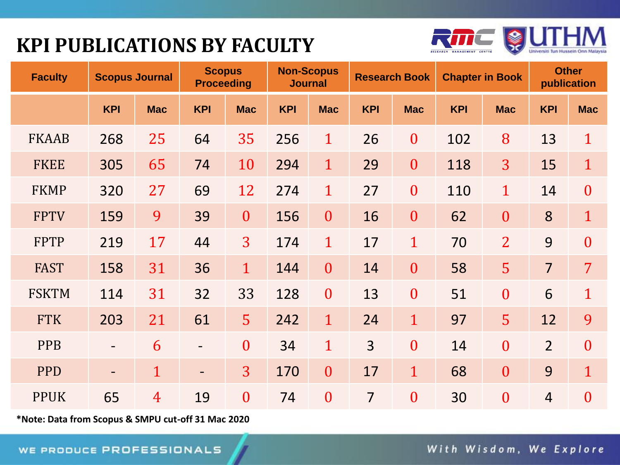## **KPI PUBLICATIONS BY FACULTY**



| <b>Faculty</b> | <b>Scopus Journal</b>    |                | <b>Scopus</b><br><b>Proceeding</b> |                  |            | <b>Non-Scopus</b><br><b>Journal</b> |                | <b>Research Book</b> |            | <b>Chapter in Book</b> |                | <b>Other</b><br>publication |
|----------------|--------------------------|----------------|------------------------------------|------------------|------------|-------------------------------------|----------------|----------------------|------------|------------------------|----------------|-----------------------------|
|                | <b>KPI</b>               | <b>Mac</b>     | <b>KPI</b>                         | <b>Mac</b>       | <b>KPI</b> | <b>Mac</b>                          | <b>KPI</b>     | <b>Mac</b>           | <b>KPI</b> | <b>Mac</b>             | <b>KPI</b>     | <b>Mac</b>                  |
| <b>FKAAB</b>   | 268                      | 25             | 64                                 | 35               | 256        | $\mathbf{1}$                        | 26             | $\mathbf{0}$         | 102        | 8                      | 13             | $\mathbf{1}$                |
| <b>FKEE</b>    | 305                      | 65             | 74                                 | 10               | 294        | $\mathbf{1}$                        | 29             | $\boldsymbol{0}$     | 118        | $\overline{3}$         | 15             | $\mathbf{1}$                |
| <b>FKMP</b>    | 320                      | 27             | 69                                 | 12               | 274        | $\mathbf 1$                         | 27             | $\boldsymbol{0}$     | 110        | $\mathbf{1}$           | 14             | $\boldsymbol{0}$            |
| <b>FPTV</b>    | 159                      | 9              | 39                                 | $\boldsymbol{0}$ | 156        | $\overline{0}$                      | 16             | $\boldsymbol{0}$     | 62         | $\boldsymbol{0}$       | 8              | $\mathbf{1}$                |
| <b>FPTP</b>    | 219                      | 17             | 44                                 | 3                | 174        | $\mathbf 1$                         | 17             | $\mathbf{1}$         | 70         | $\overline{2}$         | 9              | $\overline{0}$              |
| <b>FAST</b>    | 158                      | 31             | 36                                 | $\mathbf{1}$     | 144        | $\overline{0}$                      | 14             | $\overline{0}$       | 58         | 5                      | $\overline{7}$ | $\overline{7}$              |
| <b>FSKTM</b>   | 114                      | 31             | 32                                 | 33               | 128        | $\overline{0}$                      | 13             | $\boldsymbol{0}$     | 51         | $\mathbf{0}$           | 6              | $\mathbf{1}$                |
| <b>FTK</b>     | 203                      | 21             | 61                                 | 5                | 242        | $\mathbf{1}$                        | 24             | $\mathbf{1}$         | 97         | 5 <sup>1</sup>         | 12             | 9                           |
| <b>PPB</b>     | $\qquad \qquad -$        | 6              |                                    | $\overline{0}$   | 34         | $\mathbf{1}$                        | $\overline{3}$ | $\mathbf{0}$         | 14         | $\boldsymbol{0}$       | $\overline{2}$ | $\boldsymbol{0}$            |
| <b>PPD</b>     | $\overline{\phantom{0}}$ | $\mathbf{1}$   | $\overline{\phantom{0}}$           | 3                | 170        | $\overline{0}$                      | 17             | $\mathbf{1}$         | 68         | $\overline{0}$         | 9              | $\mathbf{1}$                |
| <b>PPUK</b>    | 65                       | $\overline{4}$ | 19                                 | $\boldsymbol{0}$ | 74         | $\overline{0}$                      | $\overline{7}$ | $\overline{0}$       | 30         | $\boldsymbol{0}$       | $\overline{4}$ | $\overline{0}$              |

**\*Note: Data from Scopus & SMPU cut-off 31 Mac 2020**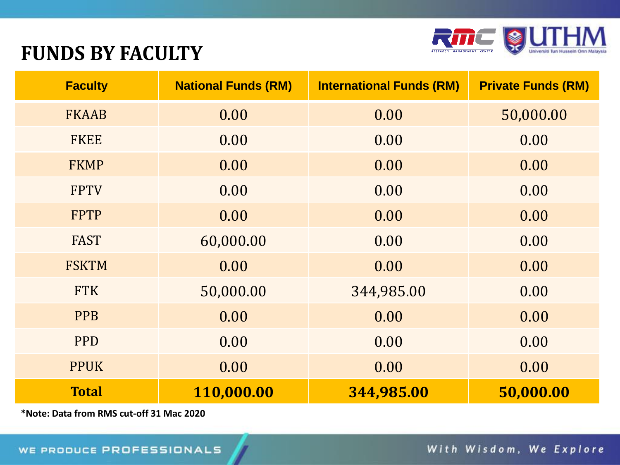

#### **FUNDS BY FACULTY**

| <b>Faculty</b> | <b>National Funds (RM)</b> | <b>International Funds (RM)</b> | <b>Private Funds (RM)</b> |
|----------------|----------------------------|---------------------------------|---------------------------|
| <b>FKAAB</b>   | 0.00                       | 0.00                            | 50,000.00                 |
| <b>FKEE</b>    | 0.00                       | 0.00                            | 0.00                      |
| <b>FKMP</b>    | 0.00                       | 0.00                            | 0.00                      |
| <b>FPTV</b>    | 0.00                       | 0.00                            | 0.00                      |
| <b>FPTP</b>    | 0.00                       | 0.00                            | 0.00                      |
| <b>FAST</b>    | 60,000.00                  | 0.00                            | 0.00                      |
| <b>FSKTM</b>   | 0.00                       | 0.00                            | 0.00                      |
| <b>FTK</b>     | 50,000.00                  | 344,985.00                      | 0.00                      |
| <b>PPB</b>     | 0.00                       | 0.00                            | 0.00                      |
| <b>PPD</b>     | 0.00                       | 0.00                            | 0.00                      |
| <b>PPUK</b>    | 0.00                       | 0.00                            | 0.00                      |
| <b>Total</b>   | 110,000.00                 | 344,985.00                      | 50,000.00                 |

**\*Note: Data from RMS cut-off 31 Mac 2020**

With Wisdom, We Explore